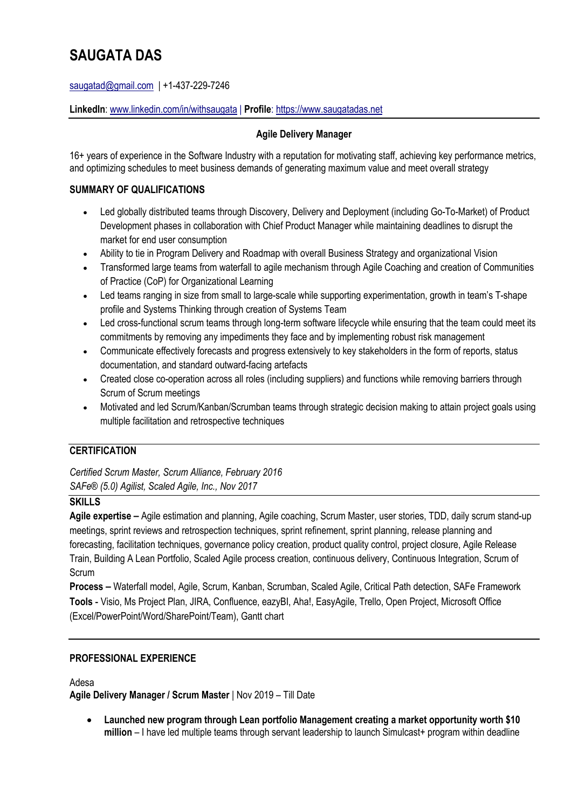# **SAUGATA DAS**

saugatad@gmail.com | +1-437-229-7246

**LinkedIn**: www.linkedin.com/in/withsaugata | **Profile**: https://www.saugatadas.net

## **Agile Delivery Manager**

16+ years of experience in the Software Industry with a reputation for motivating staff, achieving key performance metrics, and optimizing schedules to meet business demands of generating maximum value and meet overall strategy

## **SUMMARY OF QUALIFICATIONS**

- Led globally distributed teams through Discovery, Delivery and Deployment (including Go-To-Market) of Product Development phases in collaboration with Chief Product Manager while maintaining deadlines to disrupt the market for end user consumption
- Ability to tie in Program Delivery and Roadmap with overall Business Strategy and organizational Vision
- Transformed large teams from waterfall to agile mechanism through Agile Coaching and creation of Communities of Practice (CoP) for Organizational Learning
- Led teams ranging in size from small to large-scale while supporting experimentation, growth in team's T-shape profile and Systems Thinking through creation of Systems Team
- Led cross-functional scrum teams through long-term software lifecycle while ensuring that the team could meet its commitments by removing any impediments they face and by implementing robust risk management
- Communicate effectively forecasts and progress extensively to key stakeholders in the form of reports, status documentation, and standard outward-facing artefacts
- Created close co-operation across all roles (including suppliers) and functions while removing barriers through Scrum of Scrum meetings
- Motivated and led Scrum/Kanban/Scrumban teams through strategic decision making to attain project goals using multiple facilitation and retrospective techniques

## **CERTIFICATION**

*Certified Scrum Master, Scrum Alliance, February 2016 SAFe® (5.0) Agilist, Scaled Agile, Inc., Nov 2017*

## **SKILLS**

**Agile expertise –** Agile estimation and planning, Agile coaching, Scrum Master, user stories, TDD, daily scrum stand-up meetings, sprint reviews and retrospection techniques, sprint refinement, sprint planning, release planning and forecasting, facilitation techniques, governance policy creation, product quality control, project closure, Agile Release Train, Building A Lean Portfolio, Scaled Agile process creation, continuous delivery, Continuous Integration, Scrum of Scrum

**Process –** Waterfall model, Agile, Scrum, Kanban, Scrumban, Scaled Agile, Critical Path detection, SAFe Framework **Tools -** Visio, Ms Project Plan, JIRA, Confluence, eazyBI, Aha!, EasyAgile, Trello, Open Project, Microsoft Office (Excel/PowerPoint/Word/SharePoint/Team), Gantt chart

## **PROFESSIONAL EXPERIENCE**

Adesa

**Agile Delivery Manager / Scrum Master** | Nov 2019 – Till Date

• **Launched new program through Lean portfolio Management creating a market opportunity worth \$10 million** – I have led multiple teams through servant leadership to launch Simulcast+ program within deadline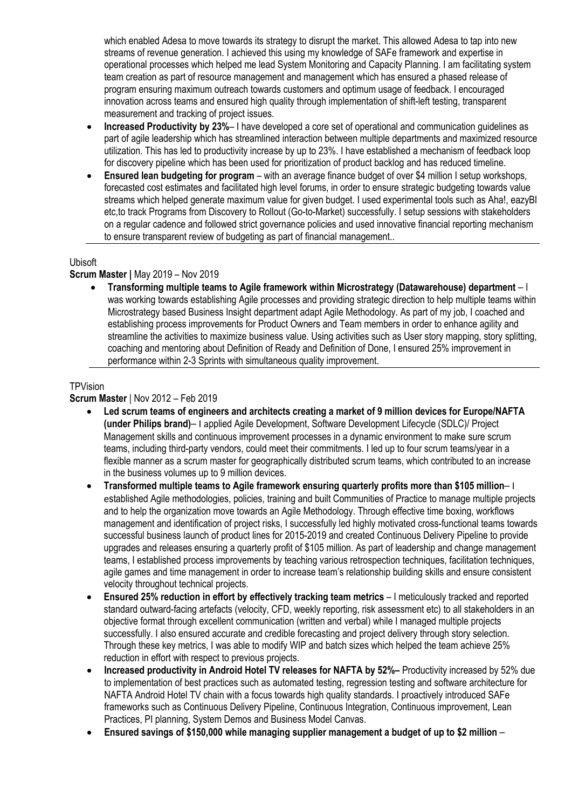which enabled Adesa to move towards its strategy to disrupt the market. This allowed Adesa to tap into new streams of revenue generation. I achieved this using my knowledge of SAFe framework and expertise in operational processes which helped me lead System Monitoring and Capacity Planning. I am facilitating system team creation as part of resource management and management which has ensured a phased release of program ensuring maximum outreach towards customers and optimum usage of feedback. I encouraged innovation across teams and ensured high quality through implementation of shift-left testing, transparent measurement and tracking of project issues.

- **Increased Productivity by 23%** I have developed a core set of operational and communication guidelines as part of agile leadership which has streamlined interaction between multiple departments and maximized resource utilization. This has led to productivity increase by up to 23%. I have established a mechanism of feedback loop for discovery pipeline which has been used for prioritization of product backlog and has reduced timeline.
- **Ensured lean budgeting for program**  with an average finance budget of over \$4 million I setup workshops, forecasted cost estimates and facilitated high level forums, in order to ensure strategic budgeting towards value streams which helped generate maximum value for given budget. I used experimental tools such as Aha!, eazyBI etc,to track Programs from Discovery to Rollout (Go-to-Market) successfully. I setup sessions with stakeholders on a regular cadence and followed strict governance policies and used innovative financial reporting mechanism to ensure transparent review of budgeting as part of financial management..

#### Ubisoft

#### **Scrum Master |** May 2019 – Nov 2019

• **Transforming multiple teams to Agile framework within Microstrategy (Datawarehouse) department** – I was working towards establishing Agile processes and providing strategic direction to help multiple teams within Microstrategy based Business Insight department adapt Agile Methodology. As part of my job, I coached and establishing process improvements for Product Owners and Team members in order to enhance agility and streamline the activities to maximize business value. Using activities such as User story mapping, story splitting, coaching and mentoring about Definition of Ready and Definition of Done, I ensured 25% improvement in performance within 2-3 Sprints with simultaneous quality improvement.

#### **TPVision**

#### **Scrum Master** | Nov 2012 – Feb 2019

- **Led scrum teams of engineers and architects creating a market of 9 million devices for Europe/NAFTA (under Philips brand)**– I applied Agile Development, Software Development Lifecycle (SDLC)/ Project Management skills and continuous improvement processes in a dynamic environment to make sure scrum teams, including third-party vendors, could meet their commitments. I led up to four scrum teams/year in a flexible manner as a scrum master for geographically distributed scrum teams, which contributed to an increase in the business volumes up to 9 million devices.
- **Transformed multiple teams to Agile framework ensuring quarterly profits more than \$105 million** I established Agile methodologies, policies, training and built Communities of Practice to manage multiple projects and to help the organization move towards an Agile Methodology. Through effective time boxing, workflows management and identification of project risks, I successfully led highly motivated cross-functional teams towards successful business launch of product lines for 2015-2019 and created Continuous Delivery Pipeline to provide upgrades and releases ensuring a quarterly profit of \$105 million. As part of leadership and change management teams, I established process improvements by teaching various retrospection techniques, facilitation techniques, agile games and time management in order to increase team's relationship building skills and ensure consistent velocity throughout technical projects.
- **Ensured 25% reduction in effort by effectively tracking team metrics**  I meticulously tracked and reported standard outward-facing artefacts (velocity, CFD, weekly reporting, risk assessment etc) to all stakeholders in an objective format through excellent communication (written and verbal) while I managed multiple projects successfully. I also ensured accurate and credible forecasting and project delivery through story selection. Through these key metrics, I was able to modify WIP and batch sizes which helped the team achieve 25% reduction in effort with respect to previous projects.
- **Increased productivity in Android Hotel TV releases for NAFTA by 52%–** Productivity increased by 52% due to implementation of best practices such as automated testing, regression testing and software architecture for NAFTA Android Hotel TV chain with a focus towards high quality standards. I proactively introduced SAFe frameworks such as Continuous Delivery Pipeline, Continuous Integration, Continuous improvement, Lean Practices, PI planning, System Demos and Business Model Canvas.
- **Ensured savings of \$150,000 while managing supplier management a budget of up to \$2 million** –